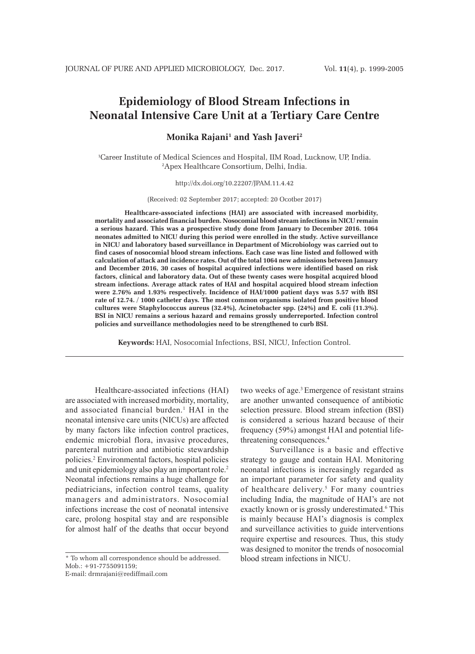# **Epidemiology of Blood Stream Infections in Neonatal Intensive Care Unit at a Tertiary Care Centre**

**Monika Rajani1 and Yash Javeri2**

1 Career Institute of Medical Sciences and Hospital, IIM Road, Lucknow, UP, India. 2 Apex Healthcare Consortium, Delhi, India.

http://dx.doi.org/10.22207/JPAM.11.4.42

(Received: 02 September 2017; accepted: 20 Ocotber 2017)

**Healthcare-associated infections (HAI) are associated with increased morbidity, mortality and associated financial burden. Nosocomial blood stream infections in NICU remain a serious hazard. This was a prospective study done from January to December 2016. 1064 neonates admitted to NICU during this period were enrolled in the study. Active surveillance in NICU and laboratory based surveillance in Department of Microbiology was carried out to find cases of nosocomial blood stream infections. Each case was line listed and followed with calculation of attack and incidence rates. Out of the total 1064 new admissions between January and December 2016, 30 cases of hospital acquired infections were identified based on risk factors, clinical and laboratory data. Out of these twenty cases were hospital acquired blood stream infections. Average attack rates of HAI and hospital acquired blood stream infection were 2.76% and 1.93% respectively. Incidence of HAI/1000 patient days was 5.57 with BSI rate of 12.74. / 1000 catheter days. The most common organisms isolated from positive blood cultures were Staphylococcus aureus (32.4%), Acinetobacter spp. (24%) and E. coli (11.3%). BSI in NICU remains a serious hazard and remains grossly underreported. Infection control policies and surveillance methodologies need to be strengthened to curb BSI.**

**Keywords:** HAI, Nosocomial Infections, BSI, NICU, Infection Control.

Healthcare-associated infections (HAI) are associated with increased morbidity, mortality, and associated financial burden.<sup>1</sup> HAI in the neonatal intensive care units (NICUs) are affected by many factors like infection control practices, endemic microbial flora, invasive procedures, parenteral nutrition and antibiotic stewardship policies.2 Environmental factors, hospital policies and unit epidemiology also play an important role.2 Neonatal infections remains a huge challenge for pediatricians, infection control teams, quality managers and administrators. Nosocomial infections increase the cost of neonatal intensive care, prolong hospital stay and are responsible for almost half of the deaths that occur beyond

\* To whom all correspondence should be addressed. Mob.: +91-7755091159;

E-mail: drmrajani@rediffmail.com

two weeks of age.<sup>3</sup> Emergence of resistant strains are another unwanted consequence of antibiotic selection pressure. Blood stream infection (BSI) is considered a serious hazard because of their frequency (59%) amongst HAI and potential lifethreatening consequences.4

Surveillance is a basic and effective strategy to gauge and contain HAI. Monitoring neonatal infections is increasingly regarded as an important parameter for safety and quality of healthcare delivery.<sup>5</sup> For many countries including India, the magnitude of HAI's are not exactly known or is grossly underestimated.<sup>6</sup> This is mainly because HAI's diagnosis is complex and surveillance activities to guide interventions require expertise and resources. Thus, this study was designed to monitor the trends of nosocomial blood stream infections in NICU.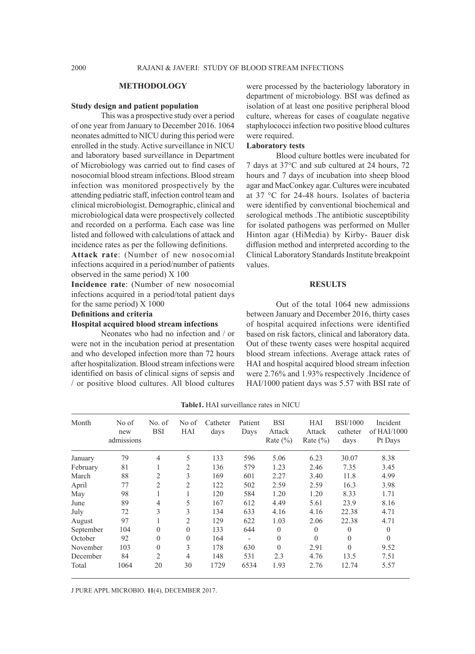## **METHODOLOGY**

#### **Study design and patient population**

This was a prospective study over a period of one year from January to December 2016. 1064 neonates admitted to NICU during this period were enrolled in the study. Active surveillance in NICU and laboratory based surveillance in Department of Microbiology was carried out to find cases of nosocomial blood stream infections. Blood stream infection was monitored prospectively by the attending pediatric staff, infection control team and clinical microbiologist. Demographic, clinical and microbiological data were prospectively collected and recorded on a performa. Each case was line listed and followed with calculations of attack and incidence rates as per the following definitions.

**Attack rate**: (Number of new nosocomial infections acquired in a period/number of patients observed in the same period) X 100

**Incidence rate**: (Number of new nosocomial infections acquired in a period/total patient days for the same period) X 1000

**Definitions and criteria**

# **Hospital acquired blood stream infections**

Neonates who had no infection and / or were not in the incubation period at presentation and who developed infection more than 72 hours after hospitalization. Blood stream infections were identified on basis of clinical signs of sepsis and / or positive blood cultures. All blood cultures were processed by the bacteriology laboratory in department of microbiology. BSI was defined as isolation of at least one positive peripheral blood culture, whereas for cases of coagulate negative staphylococci infection two positive blood cultures were required.

#### **Laboratory tests**

Blood culture bottles were incubated for 7 days at 37°C and sub cultured at 24 hours, 72 hours and 7 days of incubation into sheep blood agar and MacConkey agar. Cultures were incubated at 37 °C for 24-48 hours. Isolates of bacteria were identified by conventional biochemical and serological methods .The antibiotic susceptibility for isolated pathogens was performed on Muller Hinton agar (HiMedia) by Kirby- Bauer disk diffusion method and interpreted according to the Clinical Laboratory Standards Institute breakpoint values.

#### **RESULTS**

Out of the total 1064 new admissions between January and December 2016, thirty cases of hospital acquired infections were identified based on risk factors, clinical and laboratory data. Out of these twenty cases were hospital acquired blood stream infections. Average attack rates of HAI and hospital acquired blood stream infection were 2.76% and 1.93% respectively .Incidence of HAI/1000 patient days was 5.57 with BSI rate of

| Month     | No of<br>new<br>admissions | No. of<br><b>BSI</b> | No of<br>HAI   | Catheter<br>days | Patient<br>Days | <b>BSI</b><br>Attack<br>Rate $(\% )$ | HAI<br>Attack<br>Rate $(\% )$ | <b>BSI/1000</b><br>catheter<br>days | Incident<br>of $HAI/1000$<br>Pt Days |
|-----------|----------------------------|----------------------|----------------|------------------|-----------------|--------------------------------------|-------------------------------|-------------------------------------|--------------------------------------|
| January   | 79                         | $\overline{4}$       | 5              | 133              | 596             | 5.06                                 | 6.23                          | 30.07                               | 8.38                                 |
| February  | 81                         | J.                   | 2              | 136              | 579             | 1.23                                 | 2.46                          | 7.35                                | 3.45                                 |
| March     | 88                         | $\overline{2}$       | 3              | 169              | 601             | 2.27                                 | 3.40                          | 11.8                                | 4.99                                 |
| April     | 77                         | $\overline{2}$       | $\overline{2}$ | 122              | 502             | 2.59                                 | 2.59                          | 16.3                                | 3.98                                 |
| May       | 98                         |                      | 1              | 120              | 584             | 1.20                                 | 1.20                          | 8.33                                | 1.71                                 |
| June      | 89                         | $\overline{4}$       | 5              | 167              | 612             | 4.49                                 | 5.61                          | 23.9                                | 8.16                                 |
| July      | 72                         | 3                    | 3              | 134              | 633             | 4.16                                 | 4.16                          | 22.38                               | 4.71                                 |
| August    | 97                         |                      | $\overline{2}$ | 129              | 622             | 1.03                                 | 2.06                          | 22.38                               | 4.71                                 |
| September | 104                        | $\theta$             | $\Omega$       | 133              | 644             | $\theta$                             | $\theta$                      | $\Omega$                            | $\theta$                             |
| October   | 92                         | $\theta$             | $\theta$       | 164              |                 | $\theta$                             | $\theta$                      | $\theta$                            | $\theta$                             |
| November  | 103                        | $\theta$             | 3              | 178              | 630             | $\theta$                             | 2.91                          | $\Omega$                            | 9.52                                 |
| December  | 84                         | $\overline{2}$       | 4              | 148              | 531             | 2.3                                  | 4.76                          | 13.5                                | 7.51                                 |
| Total     | 1064                       | 20                   | 30             | 1729             | 6534            | 1.93                                 | 2.76                          | 12.74                               | 5.57                                 |

**Table1.** HAI surveillance rates in NICU

J PURE APPL MICROBIO*,* **11**(4), DECEMBER 2017.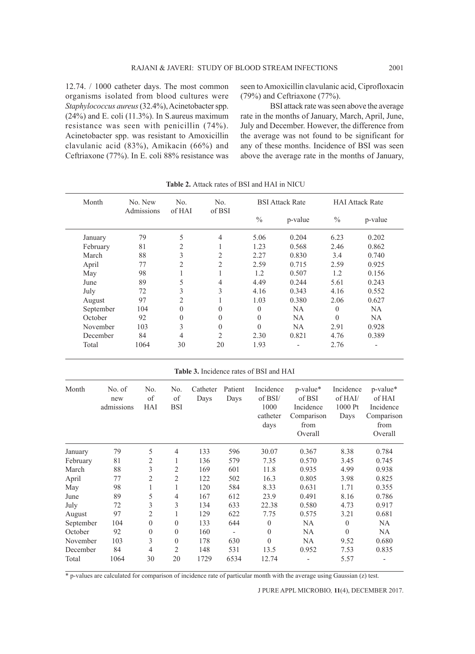12.74. / 1000 catheter days. The most common organisms isolated from blood cultures were *Staphylococcus aureus* (32.4%), Acinetobacter spp. (24%) and E. coli (11.3%). In S.aureus maximum resistance was seen with penicillin (74%). Acinetobacter spp. was resistant to Amoxicillin clavulanic acid (83%), Amikacin (66%) and Ceftriaxone (77%). In E. coli 88% resistance was seen to Amoxicillin clavulanic acid, Ciprofloxacin (79%) and Ceftriaxone (77%).

BSI attack rate was seen above the average rate in the months of January, March, April, June, July and December. However, the difference from the average was not found to be significant for any of these months. Incidence of BSI was seen above the average rate in the months of January,

| Month     |               | No. New<br>Admissions   | No.<br>of HAI    | No.<br>of BSI    |                          | <b>BSI Attack Rate</b>                  |                    | <b>HAI Attack Rate</b> |                    |
|-----------|---------------|-------------------------|------------------|------------------|--------------------------|-----------------------------------------|--------------------|------------------------|--------------------|
|           |               |                         |                  |                  |                          | $\%$                                    | p-value            | $\frac{0}{0}$          | p-value            |
| January   |               | 79                      | 5                | $\overline{4}$   |                          | 5.06                                    | 0.204              | 6.23                   | 0.202              |
| February  |               | 81                      | $\overline{c}$   | 1                |                          | 1.23                                    | 0.568              | 2.46                   | 0.862              |
| March     |               | 88                      | 3                |                  | $\overline{c}$           | 2.27                                    | 0.830              | 3.4                    | 0.740              |
| April     |               | 77                      | $\overline{c}$   | $\overline{c}$   |                          | 2.59                                    | 0.715              | 2.59                   | 0.925              |
| May       |               | 98                      | $\mathbf{1}$     |                  | $\mathbf{1}$             | 1.2                                     | 0.507              | 1.2                    | 0.156              |
| June      |               | 89                      | 5                |                  | 4                        | 4.49                                    | 0.244              | 5.61                   | 0.243              |
| July      |               | 72                      | 3                | 3                |                          | 4.16                                    | 0.343              | 4.16                   | 0.552              |
| August    |               | $\overline{2}$<br>97    |                  | $\mathbf{1}$     |                          | 1.03                                    | 0.380              | 2.06                   | 0.627              |
| September |               | 104                     | $\overline{0}$   | $\boldsymbol{0}$ |                          | $\boldsymbol{0}$                        | NA                 | $\boldsymbol{0}$       | NA                 |
| October   |               | 92                      | $\boldsymbol{0}$ | $\boldsymbol{0}$ |                          | $\overline{0}$                          | NA                 | $\overline{0}$         | NA                 |
| November  |               | 103                     | 3                | $\boldsymbol{0}$ |                          | $\mathbf{0}$                            | NA                 | 2.91                   | 0.928              |
| December  |               | 84                      | $\overline{4}$   | $\overline{c}$   |                          | 2.30                                    | 0.821              | 4.76                   | 0.389              |
| Total     |               | 1064                    | 30               | 20               |                          | 1.93                                    |                    | 2.76                   | $\overline{a}$     |
|           |               |                         |                  |                  |                          | Table 3. Incidence rates of BSI and HAI |                    |                        |                    |
| Month     | No. of<br>new | No.<br>of               | No.<br>of        | Catheter<br>Days | Patient<br>Days          | Incidence<br>of BSI/                    | p-value*<br>of BSI | Incidence<br>of HAI/   | p-value*<br>of HAI |
|           | admissions    | HAI                     | <b>BSI</b>       |                  |                          | 1000                                    | Incidence          | 1000 Pt                | Incidence          |
|           |               |                         |                  |                  |                          | catheter                                | Comparison         | Days                   | Comparison         |
|           |               |                         |                  |                  |                          | days                                    | from               |                        | from               |
|           |               |                         |                  |                  |                          |                                         | Overall            |                        | Overall            |
| January   | 79            | 5                       | $\overline{4}$   | 133              | 596                      | 30.07                                   | 0.367              | 8.38                   | 0.784              |
| February  | 81            | $\overline{2}$          | 1                | 136              | 579                      | 7.35                                    | 0.570              | 3.45                   | 0.745              |
| March     | 88            | $\overline{\mathbf{3}}$ | $\overline{2}$   | 169              | 601                      | 11.8                                    | 0.935              | 4.99                   | 0.938              |
| April     | 77            | $\overline{c}$          | $\overline{2}$   | 122              | 502                      | 16.3                                    | 0.805              | 3.98                   | 0.825              |
| May       | 98            | $\mathbf{1}$            | $\mathbf{1}$     | 120              | 584                      | 8.33                                    | 0.631              | 1.71                   | 0.355              |
| June      | 89            | 5                       | $\overline{4}$   | 167              | 612                      | 23.9                                    | 0.491              | 8.16                   | 0.786              |
| July      | 72            | $\overline{\mathbf{3}}$ | $\mathfrak{Z}$   | 134              | 633                      | 22.38                                   | 0.580              | 4.73                   | 0.917              |
| August    | 97            | $\overline{2}$          | 1                | 129              | 622                      | 7.75                                    | 0.575              | 3.21                   | 0.681              |
| September | 104           | $\boldsymbol{0}$        | $\boldsymbol{0}$ | 133              | 644                      | $\boldsymbol{0}$                        | NA                 | $\boldsymbol{0}$       | NA                 |
| October   | 92            | $\mathbf{0}$            | $\boldsymbol{0}$ | 160              | $\overline{\phantom{a}}$ | $\boldsymbol{0}$                        | NA                 | $\boldsymbol{0}$       | NA                 |
| November  | 103           | 3                       | $\boldsymbol{0}$ | 178              | 630                      | $\mathbf{0}$                            | NA                 | 9.52                   | 0.680              |
| December  | 84            | $\overline{4}$          | $\overline{2}$   | 148              | 531                      | 13.5                                    | 0.952              | 7.53                   | 0.835              |
| Total     | 1064          | 30                      | 20               | 1729             | 6534                     | 12.74                                   | $\overline{a}$     | 5.57                   | $\frac{1}{2}$      |

**Table 2.** Attack rates of BSI and HAI in NICU

\* p-values are calculated for comparison of incidence rate of particular month with the average using Gaussian (z) test.

J PURE APPL MICROBIO*,* **11**(4), DECEMBER 2017.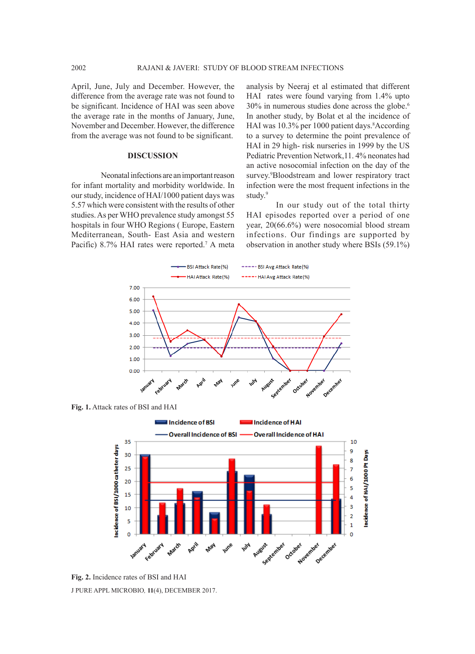April, June, July and December. However, the difference from the average rate was not found to be significant. Incidence of HAI was seen above the average rate in the months of January, June, November and December. However, the difference from the average was not found to be significant.

## **DISCUSSION**

Neonatal infections are an important reason for infant mortality and morbidity worldwide. In our study, incidence of HAI/1000 patient days was 5.57 which were consistent with the results of other studies. As per WHO prevalence study amongst 55 hospitals in four WHO Regions ( Europe, Eastern Mediterranean, South- East Asia and western Pacific) 8.7% HAI rates were reported.<sup>7</sup> A meta analysis by Neeraj et al estimated that different HAI rates were found varying from 1.4% upto 30% in numerous studies done across the globe.6 In another study, by Bolat et al the incidence of HAI was 10.3% per 1000 patient days. <sup>8</sup>According to a survey to determine the point prevalence of HAI in 29 high- risk nurseries in 1999 by the US Pediatric Prevention Network,11. 4% neonates had an active nosocomial infection on the day of the survey.<sup>9</sup>Bloodstream and lower respiratory tract infection were the most frequent infections in the study.<sup>9</sup>

In our study out of the total thirty HAI episodes reported over a period of one year, 20(66.6%) were nosocomial blood stream infections. Our findings are supported by observation in another study where BSIs (59.1%)



J PURE APPL MICROBIO*,* **11**(4), DECEMBER 2017. **Fig. 2.** Incidence rates of BSI and HAI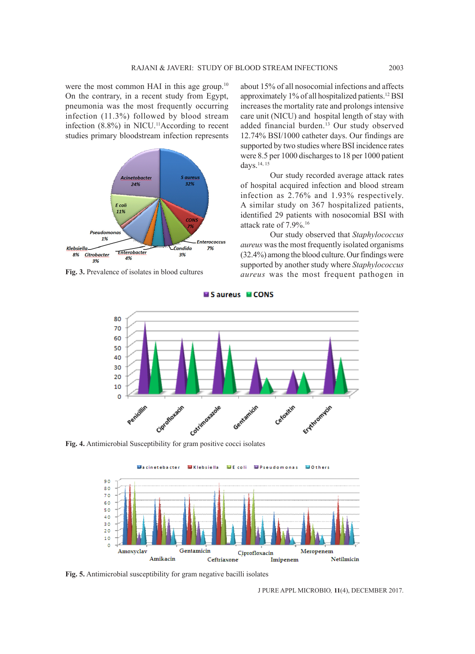were the most common HAI in this age group.<sup>10</sup> On the contrary, in a recent study from Egypt, pneumonia was the most frequently occurring infection (11.3%) followed by blood stream infection  $(8.8\%)$  in NICU.<sup>11</sup>According to recent studies primary bloodstream infection represents



**Fig. 3.** Prevalence of isolates in blood cultures

about 15% of all nosocomial infections and affects approximately 1% of all hospitalized patients.12 BSI increases the mortality rate and prolongs intensive care unit (NICU) and hospital length of stay with added financial burden.<sup>13</sup> Our study observed 12.74% BSI/1000 catheter days. Our findings are supported by two studies where BSI incidence rates were 8.5 per 1000 discharges to 18 per 1000 patient days.<sup>14, 15</sup>

Our study recorded average attack rates of hospital acquired infection and blood stream infection as 2.76% and 1.93% respectively. A similar study on 367 hospitalized patients, identified 29 patients with nosocomial BSI with attack rate of 7.9%.16

Our study observed that *Staphylococcus aureus* was the most frequently isolated organisms (32.4%) among the blood culture. Our findings were supported by another study where *Staphylococcus aureus* was the most frequent pathogen in



Saureus MCONS



**Fig. 5.** Antimicrobial susceptibility for gram negative bacilli isolates

J PURE APPL MICROBIO*,* **11**(4), DECEMBER 2017.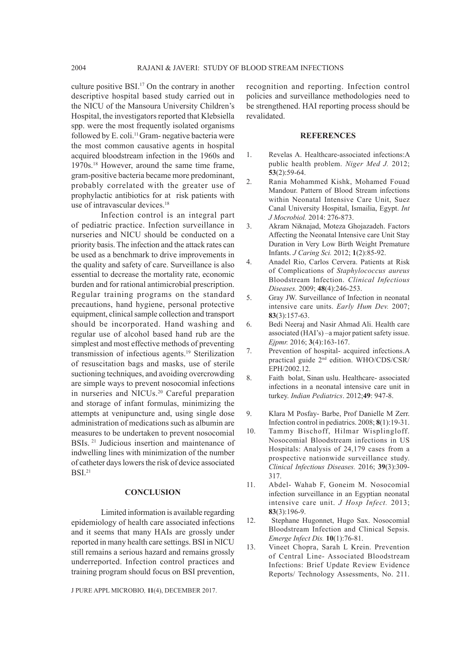culture positive BSI.17 On the contrary in another descriptive hospital based study carried out in the NICU of the Mansoura University Children's Hospital, the investigators reported that Klebsiella spp. were the most frequently isolated organisms followed by E. coli.<sup>11</sup> Gram- negative bacteria were the most common causative agents in hospital acquired bloodstream infection in the 1960s and 1970s.18 However, around the same time frame, gram-positive bacteria became more predominant, probably correlated with the greater use of prophylactic antibiotics for at risk patients with use of intravascular devices.<sup>18</sup>

Infection control is an integral part of pediatric practice. Infection surveillance in nurseries and NICU should be conducted on a priority basis. The infection and the attack rates can be used as a benchmark to drive improvements in the quality and safety of care. Surveillance is also essential to decrease the mortality rate, economic burden and for rational antimicrobial prescription. Regular training programs on the standard precautions, hand hygiene, personal protective equipment, clinical sample collection and transport should be incorporated. Hand washing and regular use of alcohol based hand rub are the simplest and most effective methods of preventing transmission of infectious agents.<sup>19</sup> Sterilization of resuscitation bags and masks, use of sterile suctioning techniques, and avoiding overcrowding are simple ways to prevent nosocomial infections in nurseries and NICUs.20 Careful preparation and storage of infant formulas, minimizing the attempts at venipuncture and, using single dose administration of medications such as albumin are measures to be undertaken to prevent nosocomial BSIs. 21 Judicious insertion and maintenance of indwelling lines with minimization of the number of catheter days lowers the risk of device associated  $BSI.<sup>21</sup>$ 

#### **CONCLUSION**

Limited information is available regarding epidemiology of health care associated infections and it seems that many HAIs are grossly under reported in many health care settings. BSI in NICU still remains a serious hazard and remains grossly underreported. Infection control practices and training program should focus on BSI prevention,

J PURE APPL MICROBIO*,* **11**(4), DECEMBER 2017.

recognition and reporting. Infection control policies and surveillance methodologies need to be strengthened. HAI reporting process should be revalidated.

# **REFERENCES**

- 1. Revelas A. Healthcare-associated infections:A public health problem. *Niger Med J.* 2012; **53**(2):59-64.
- 2. Rania Mohammed Kishk, Mohamed Fouad Mandour. Pattern of Blood Stream infections within Neonatal Intensive Care Unit, Suez Canal University Hospital, Ismailia, Egypt. *Int J Mocrobiol.* 2014: 276-873.
- 3. Akram Niknajad, Moteza Ghojazadeh. Factors Affecting the Neonatal Intensive care Unit Stay Duration in Very Low Birth Weight Premature Infants. *J Caring Sci.* 2012; **1**(2):85-92.
- 4. Anadel Rio, Carlos Cervera. Patients at Risk of Complications of *Staphylococcus aureus* Bloodstream Infection. *Clinical Infectious Diseases.* 2009; **48**(4):246-253.
- 5. Gray JW. Surveillance of Infection in neonatal intensive care units. *Early Hum Dev.* 2007; **83**(3):157-63.
- 6. Bedi Neeraj and Nasir Ahmad Ali. Health care associated (HAI's) –a major patient safety issue. *Ejpmr.* 2016; **3**(4):163-167.
- 7. Prevention of hospital- acquired infections.A practical guide 2nd edition. WHO/CDS/CSR/ EPH/2002.12.
- 8. Faith bolat, Sinan uslu. Healthcare- associated infections in a neonatal intensive care unit in turkey. *Indian Pediatrics*. 2012;**49**: 947-8.
- 9. Klara M Posfay- Barbe, Prof Danielle M Zerr. Infection control in pediatrics. 2008; **8**(1):19-31.
- 10. Tammy Bischoff, Hilmar Wisplingloff. Nosocomial Bloodstream infections in US Hospitals: Analysis of 24,179 cases from a prospective nationwide surveillance study. *Clinical Infectious Diseases.* 2016; **39**(3):309- 317.
- 11. Abdel- Wahab F, Goneim M. Nosocomial infection surveillance in an Egyptian neonatal intensive care unit. *J Hosp Infect.* 2013; **83**(3):196-9.
- 12. Stephane Hugonnet, Hugo Sax. Nosocomial Bloodstream Infection and Clinical Sepsis. *Emerge Infect Dis.* **10**(1):76-81.
- 13. Vineet Chopra, Sarah L Krein. Prevention of Central Line- Associated Bloodstream Infections: Brief Update Review Evidence Reports/ Technology Assessments, No. 211.